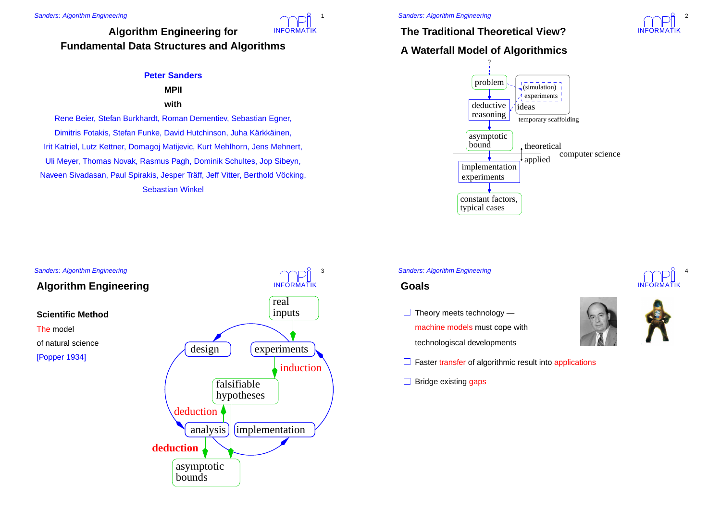## INFORMATIK**Algorithm Engineering for Fundamental Data Structures and Algorithms**

## **Peter Sanders**

# **MPII**

## **with**

Rene Beier, Stefan Burkhardt, Roman Dementiev, Sebastian Egner, Dimitris Fotakis, Stefan Funke, David Hutchinson, Juha Kärkkäinen, Irit Katriel, Lutz Kettner, Domagoj Matijevic, Kurt Mehlhorn, Jens Mehnert, Uli Meyer, Thomas Novak, Rasmus Pagh, Dominik Schultes, Jop Sibeyn, Naveen Sivadasan, Paul Spirakis, Jesper Träff, Jeff Vitter, Berthold Vöcking, Sebastian Winkel

## Sanders: Algorithm Engineering INFORMATIK 3**Algorithm Engineering Scientific Method**The model of natural science[Popper 1934] boundsasymptotic hypotheses falsifiablereal inputs  $\text{design}$  |  $\text{experiments}$ analysis  $\|$  (implementation **deduction**deductioninduction

1

# **The Traditional Theoretical View?**

# **A Waterfall Model of Algorithmics**



#### Sanders: Algorithm Engineering

## **Goals**

- Theory meets technology -
- machine models must cope with
- technologiscal developments
- **Faster transfer of algorithmic result into applications**
- **Bridge existing gaps**





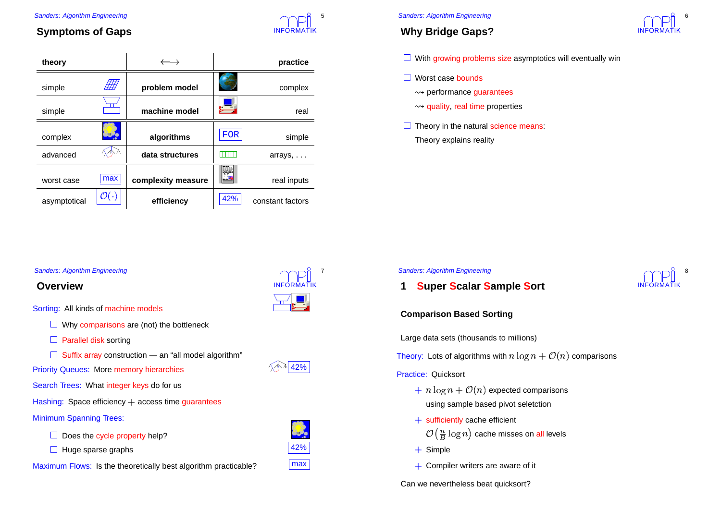

5

# **Symptoms of Gaps**

| theory                                |                      | $\rightarrow$      |            | practice          |
|---------------------------------------|----------------------|--------------------|------------|-------------------|
| simple                                |                      | problem model      |            | complex           |
| simple                                |                      | machine model      |            | real              |
| complex                               |                      | algorithms         | <b>FOR</b> | simple            |
| advanced                              |                      | data structures    | TITT       | arrays,           |
| worst case                            | max                  | complexity measure |            | real inputs       |
| asymptotical                          | $\mathcal{O}(\cdot)$ | efficiency         | 42%        | constant factors  |
|                                       |                      |                    |            |                   |
|                                       |                      |                    |            |                   |
| <b>Sanders: Algorithm Engineering</b> |                      |                    |            |                   |
| Overview                              |                      |                    |            | <b>INFORMATIK</b> |

#### Sanders: Algorithm Engineering

# **Why Bridge Gaps?**



With growing problems size asymptotics will eventually win

- Worst case bounds
	- $\rightsquigarrow$  performance guarantees
	- performance guarantees<br>quality, real time propert
- quality, real time properties<br>eory in the natural science r Theory in the natural science means: Theory explains reality

### Sanders: Algorithm Engineering



## Sanders: Algorithm Engineering

## **Overview**

Sorting: All kinds of machine models

Why comparisons are (not) the bottleneck

**Parallel disk sorting** 

Suffix array construction - an "all model algorithm"

**Priority Queues: More memory hierarchies**  $\sqrt{2}$   $\sqrt{42\%}$ 

Search Trees: What integer keys do for us

Hashing: Space efficiency  $+$  access time guarantees

### Minimum Spanning Trees:

Does the cycle property help?

Huge sparse graphs and the set of the set of the set of the set of the set of the set of the set of the set of the set of the set of the set of the set of the set of the set of the set of the set of the set of the set of t

Maximum Flows: Is the theoretically best algorithm practicable? **max** 



**Comparison Based Sorting**

**1**

Large data sets (thousands to millions)

**Super Scalar Sample Sort**

Theory: Lots of algorithms with  $n\log n + \mathcal{O}(n)$  comparisons

#### Practice: Quicksort

- using sample based pivot seletction  $n \log n + \mathcal{O}(n)$  expected comparisons
- $\mathcal{O}(\frac{n}{B}\log n)$  cache misses on all levels<br>imple + sufficiently cache efficient
- + Simple
- $+$  Compiler writers are aware of it

Can we nevertheless beat quicksort?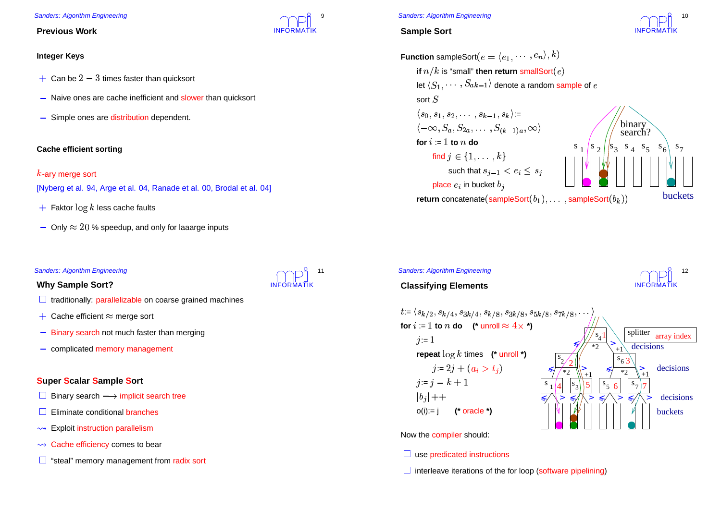### **Previous Work**

## **Integer Keys**

- $\cdot$  Can be  $2-3$  times faster than quicksort
- Naive ones are cache inefficient and slower than quicksort
- $\,$  Simple ones are distribution dependent.

## **Cache efficient sorting**

-ary merge sort

[Nyberg et al. 94, Arge et al. 04, Ranade et al. 00, Brodal et al. 04]

- $\blacksquare$  Faktor  $\log k$  less cache faults
- $\sim$  Only  $\approx 20$  % speedup, and only for laaarge inputs

### Sanders: Algorithm Engineering

## **Why Sample Sort?**

- traditionally: parallelizable on coarse grained machines
- $\cdot$  Cache efficient  $\approx$  merge sort
- **Binary search not much faster than merging**
- complicated memory management

## **Super Scalar Sample Sort**

- Binary search  $\longrightarrow$  implicit search tree
- **Eliminate conditional branches**
- $\rightsquigarrow$  Exploit instruction parallelism
- Exploit instruction parallelism<br>Cache efficiency comes to be
- Cache efficiency comes to bear<br>| "steal" memory management fro  $\Box$ "steal" memory management from radix sort



INFORMATIK

9

### Sanders: Algorithm Engineering

## **Sample Sort**





## Sanders: Algorithm Engineering

## **Classifying Elements**





Now the compiler should:

## use predicated instructions

interleave iterations of the for loop (software pipelining)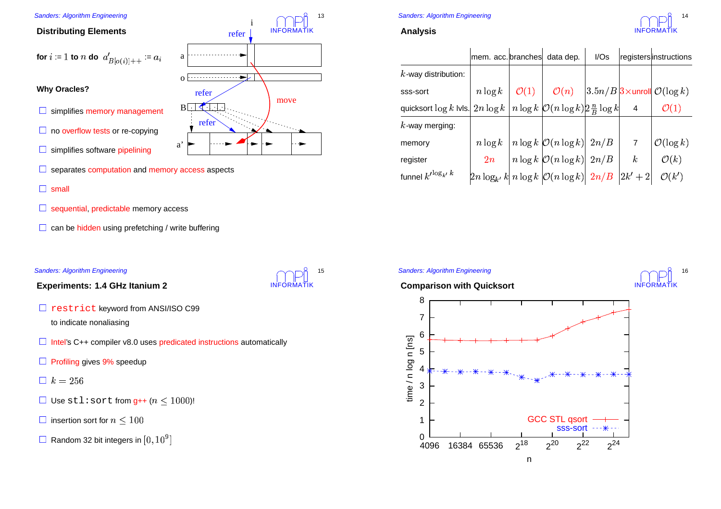## **Distributing Elements**

for 
$$
i := 1
$$
 to *n* do  $a'_{B[o(i)]++} := a_i$   
Why Oracle?

## **Why Oracles?**

- simplifies memory management
- no overflow tests or re-copying
- simplifies software pipelining



refer

o

a

INFORMATIK

move

INFORMATIK

15

i

refer

13

- separates computation and memory access aspects
- small
- sequential, predictable memory access
- can be hidden using prefetching / write buffering

## Sanders: Algorithm Engineering

**Experiments: 1.4 GHz Itanium 2**

- restrict keyword from ANSI/ISO C99 to indicate nonaliasing
- Intel's C++ compiler v8.0 uses predicated instructions automatically
- **Profiling gives 9% speedup**
- $\Box k = 256$
- Use  $\texttt{stl:sort}$  from  $\texttt{g++}$   $(n \leq 1000)!$
- $\overline{\phantom{a}}$  insertion sort for  $n\leq 10$
- Random 32 bit integers in  $[0, 10^9$

# Sanders: Algorithm Engineering

## **Analysis**



|                                                                                              | mem. acc. branches | data dep.                                                                                                                                                                                                   | I/Ss |                | registersinstructions                            |
|----------------------------------------------------------------------------------------------|--------------------|-------------------------------------------------------------------------------------------------------------------------------------------------------------------------------------------------------------|------|----------------|--------------------------------------------------|
| $k$ -way distribution:                                                                       |                    |                                                                                                                                                                                                             |      |                |                                                  |
| sss-sort                                                                                     |                    | $n \log k \mid \mathcal{O}(1) \mid \mathcal{O}(n)$                                                                                                                                                          |      |                | $3.5n/B$ $3 \times$ unroll $\mathcal{O}(\log k)$ |
| quicksort $\log k$ Ivis. $2n \log k / n \log k / \mathcal{O}(n \log k)$ $\frac{n}{B} \log k$ |                    |                                                                                                                                                                                                             |      | $\overline{4}$ | $\mathcal{O}(1)$                                 |
| $k$ -way merging:                                                                            |                    |                                                                                                                                                                                                             |      |                |                                                  |
| memory                                                                                       |                    |                                                                                                                                                                                                             |      |                | $\mathcal{O}(\log k)$                            |
| register                                                                                     |                    | $\begin{array}{ c c c c } \hline n\log k&n\log k&\mathcal{O}(n\log k)&2n/B&7&\\ \hline 2n&n\log k&\mathcal{O}(n\log k)&2n/B&k\\ 2n\log_{k'} k&n\log k&\mathcal{O}(n\log k)&2n/B&2k'+2\\ \hline \end{array}$ |      |                | $\mathcal{O}(k)$                                 |
| funnel $k^{\prime \log_k k}$                                                                 |                    |                                                                                                                                                                                                             |      |                | $\mathcal{O}(k')$                                |
|                                                                                              |                    |                                                                                                                                                                                                             |      |                |                                                  |

**Comparison with Quicksort**

Sanders: Algorithm Engineering



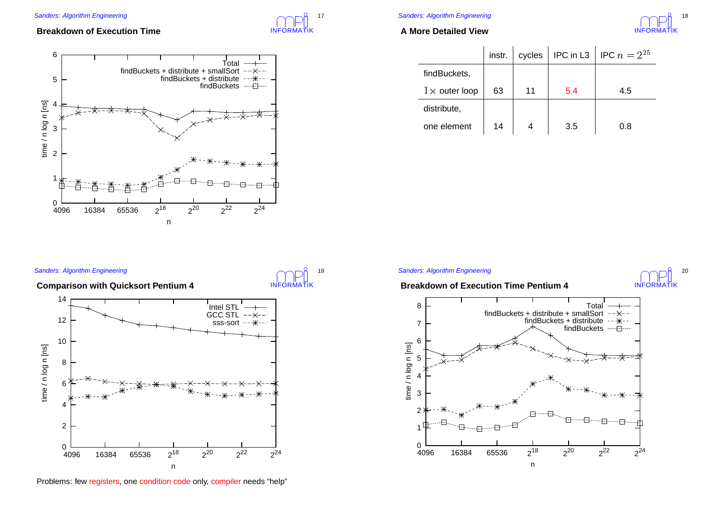# INFORMATIK17

INFORMATIK

19

## **Breakdown of Execution Time**



## Sanders: Algorithm Engineering

## **A More Detailed View**



|                      | instr. | cycles | IPC in L3 | IPC $n = 2^{25}$ |
|----------------------|--------|--------|-----------|------------------|
| findBuckets,         |        |        |           |                  |
| $1\times$ outer loop | 63     | 11     | 5.4       | 4.5              |
| distribute,          |        |        |           |                  |
| one element          | 14     |        | 3.5       | 0.8              |

#### Sanders: Algorithm Engineering

**Comparison with Quicksort Pentium 4**



Problems: few registers, one condition code only, compiler needs "help"

#### Sanders: Algorithm Engineering

## **Breakdown of Execution Time Pentium 4**



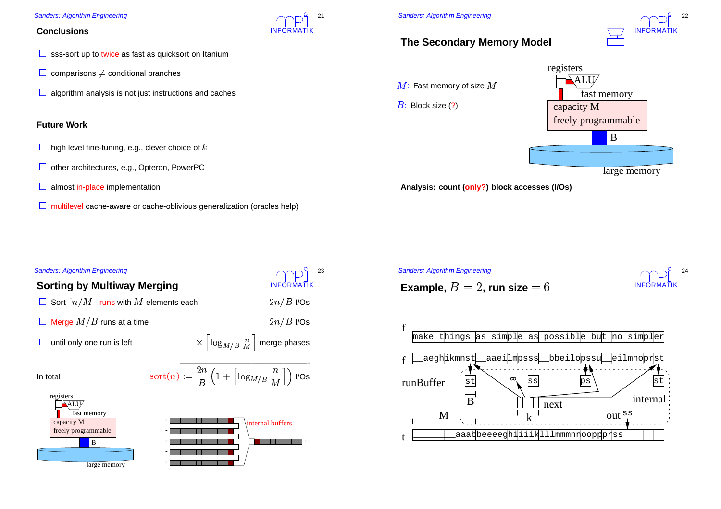## **Conclusions**

- sss-sort up to twice as fast as quicksort on Itanium
- comparisons  $\neq$
- ∈comparisons ≠ conditional branches<br>∃algorithm analysis is not just instructions and caches

## **Future Work**

- $\vdash$  high level fine-tuning, e.g., clever choice of  $k$
- other architectures, e.g., Opteron, PowerPC
- almost in-place implementation

large memory

multilevel cache-aware or cache-oblivious generalization (oracles help)

INFORMATIK

21



n di

 $\colon$  Fast memory of size  $M$ 

: Block size (?)

# INFORMATIK22

# **The Secondary Memory Model**



large memory

**Analysis: count (only?) block accesses (I/Os)**

**Example,**  $B = 2$ , run size  $= 6$ 

Sanders: Algorithm Engineering





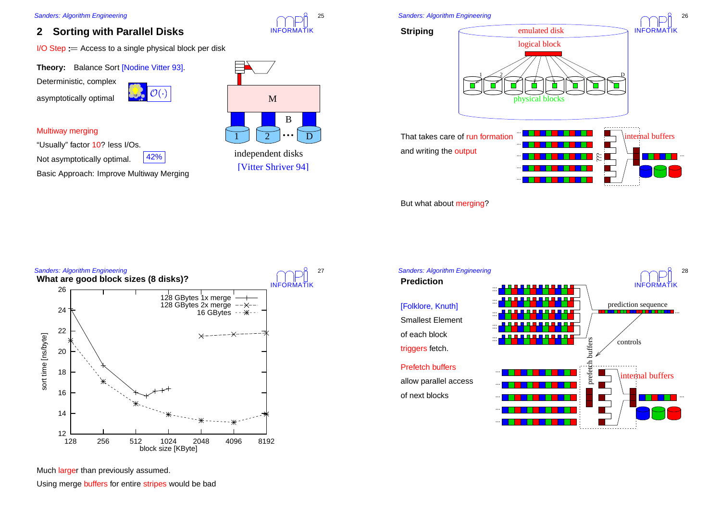#### **2Sorting with Parallel Disks**

I/O Step := Access to a single physical block per disk<br>**Theory:** Balance Sort [Nodine Vitter 93].

**Theory:** Balance Sort [Nodine Vitter 93].

Deterministic, complex

asymptotically optimal



## Multiway merging

"Usually" factor 10? less I/Os.

42% Not asymptotically optimal. 42%

Basic Approach: Improve Multiway Merging



INFORMATIK

25

independent disks [Vitter Shriver 94]





INFORMATIK

26

But what about merging?





Much larger than previously assumed.

Using merge buffers for entire stripes would be bad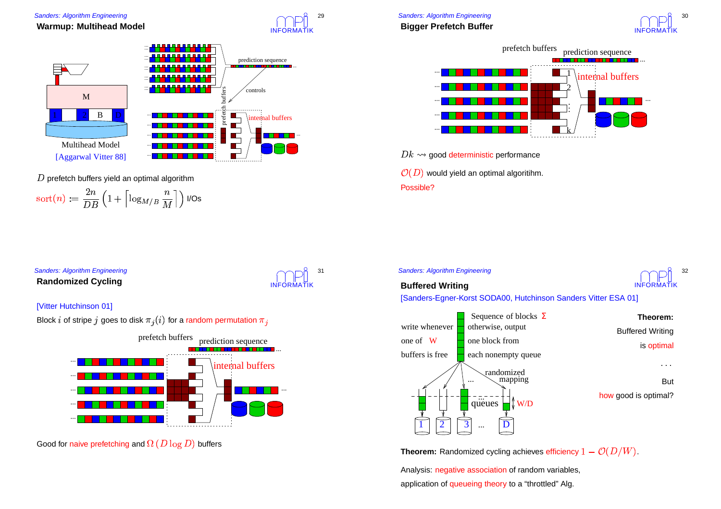





prefetch buffers yield an optimal algorithm

 $\alpha^{+}(n) =$  $rac{2n}{DE}$  $\overline{B}$ :  $\left(1 + \left\lceil \log_{M/B} \frac{n}{M} \right\rceil \right)$  I/Os  $\int$ 





 $Dk \leadsto$  good deterministic performance good deterministic performance<br>would yield an optimal algoritihm  $\mathbb{P}(D)$  would yield an optimal algoritihm. Possible?

## Sanders: Algorithm Engineering **Randomized Cycling**



## [Vitter Hutchinson 01]





Good for naive prefetching and  $\Omega\left( D\log D\right)$  buffers

## Sanders: Algorithm Engineering



## **Buffered Writing**

[Sanders-Egner-Korst SODA00, Hutchinson Sanders Vitter ESA 01]



**Theorem:** Randomized cycling achieves efficiency  $1 - \mathcal{O}(D/W)$ .

Analysis: negative association of random variables, application of queueing theory to <sup>a</sup> "throttled" Alg.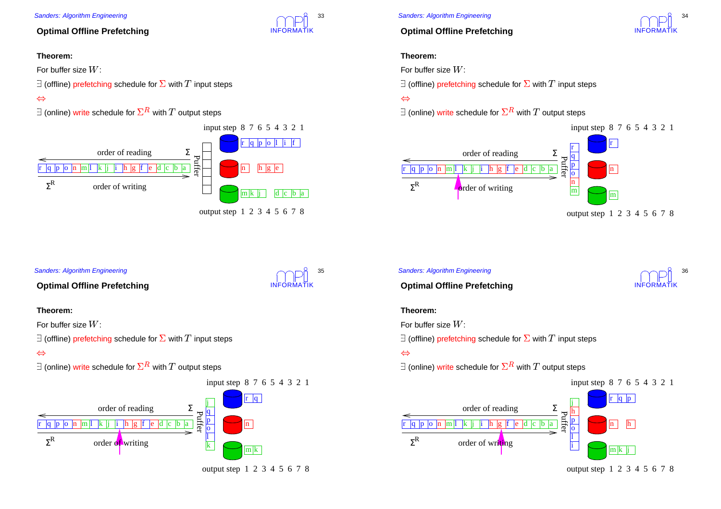## **Optimal Offline Prefetching**

## **Theorem:**

For buffer size  $W\mathrm{:}$ 

(offline) prefetching schedule for  $\Sigma$  with  $T$  input steps

## $\Leftrightarrow$



## Sanders: Algorithm Engineering

## **Optimal Offline Prefetching**

## **Theorem:**

For buffer size  $W\colon$ 

(offline) prefetching schedule for  $\Sigma$  with  $T$  input steps

## $\Leftrightarrow$



Sanders: Algorithm Engineering

## **Optimal Offline Prefetching**

## **Theorem:**

For buffer size  $W\mathrm{:}$ 

(offline) prefetching schedule for  $\Sigma$  with  $T$  input steps

## $\Leftrightarrow$



# Sanders: Algorithm Engineering



## **Optimal Offline Prefetching**

## **Theorem:**

For buffer size  $W\colon$ 

(offline) prefetching schedule for  $\Sigma$  with  $T$  input steps

## $\Leftrightarrow$







INFORMATIK

33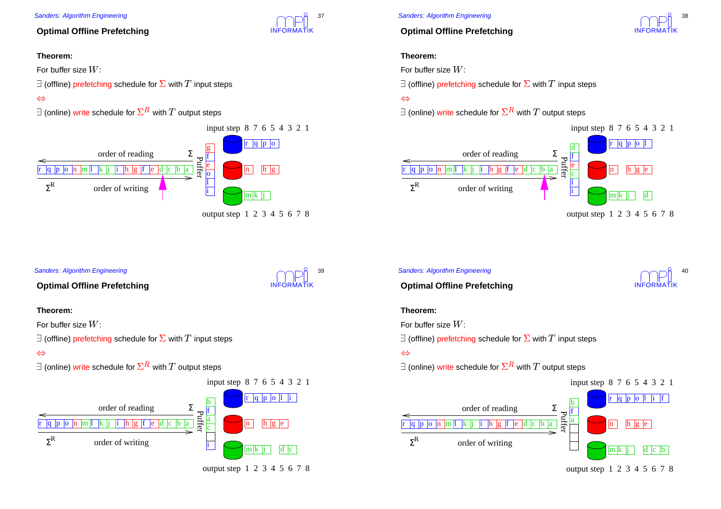## **Optimal Offline Prefetching**

## **Theorem:**

For buffer size  $W\mathrm{:}$ 

(offline) prefetching schedule for  $\Sigma$  with  $T$  input steps

## $\Leftrightarrow$



## Sanders: Algorithm Engineering

## **Optimal Offline Prefetching**

## **Theorem:**

For buffer size  $W\colon$ 

(offline) prefetching schedule for  $\Sigma$  with  $T$  input steps

## $\Leftrightarrow$



output step 1 2 3 4 5 6 7 8

INFORMATIK

INFORMATIK

39

37

## Sanders: Algorithm Engineering

## **Optimal Offline Prefetching**

## **Theorem:**

For buffer size  $W\mathrm{:}$ 

(offline) prefetching schedule for  $\Sigma$  with  $T$  input steps

## $\Leftrightarrow$



## Sanders: Algorithm Engineering



INFORMATIK

38

**Optimal Offline Prefetching**

## **Theorem:**

For buffer size  $W\colon$ 

(offline) prefetching schedule for  $\Sigma$  with  $T$  input steps

## $\Leftrightarrow$



output step 1 2 3 4 5 6 7 8

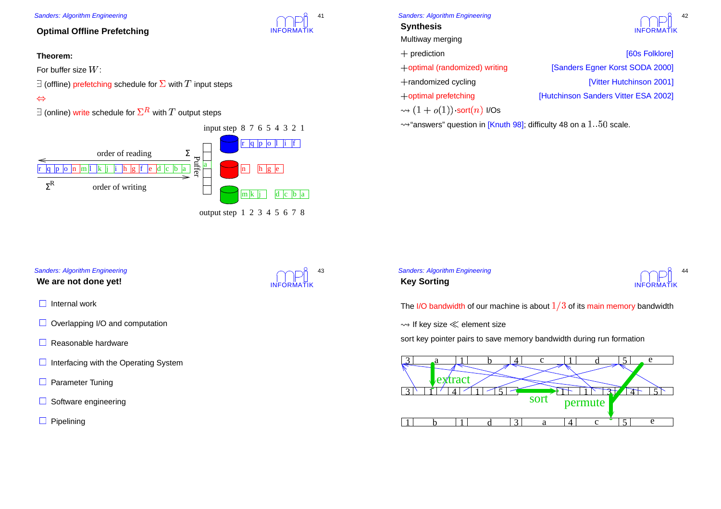## **Optimal Offline Prefetching**

## **Theorem:**

For buffer size  $W\mathrm{:}$ 

(offline) prefetching schedule for  $\Sigma$  with  $T$  input steps

## $\Leftrightarrow$



## Sanders: Algorithm Engineering

**Synthesis**

Multiway merging

- 
- +randomized cycling
- 



42

 optimal (randomized) writing [Sanders Egner Korst SODA 2000] [Vitter Hutchinson 2001] optimal prefetching [Hutchinson Sanders Vitter ESA 2002]

 $\cdot (1+o(1))\cdot \mathsf{sort}(n)$  I/Os "answers" question in [Knuth 98]; difficulty 48 on a  $1.50$  scale.<br>"

# INFORMATIK 43

INFORMATIK

 $\mathbf{A}$ 



The I/O bandwidth of our machine is about  $1/3$  of its main memory bandwidth

 $\rightsquigarrow$  If key size  $\ll$  element size

Sanders: Algorithm Engineering

**Key Sorting**

If key size  $\ll$  element size<br>rt key pointer pairs to save r sort key pointer pairs to save memory bandwidth during run formation



## Sanders: Algorithm Engineering

### **We are not done yet!**

- Internal work
- Overlapping I/O and computation
- Reasonable hardware
- Interfacing with the Operating System
- **Parameter Tuning**
- Software engineering
- **Pipelining**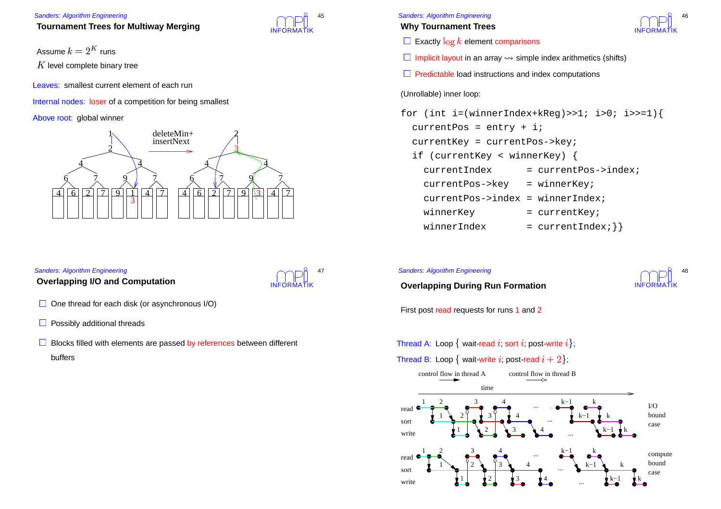## **Tournament Trees for Multiway Merging**

Assume  $k=2^K$ 

runs<br>bina<br>currer level complete binary tree

Leaves: smallest current element of each run

Internal nodes: loser of a competition for being smallest

Above root: global winner



## Sanders: Algorithm Engineering

## **Overlapping I/O and Computation**



INFORMATIK

45

- One thread for each disk (or asynchronous I/O)
- Possibly additional threads
- Blocks filled with elements are passed by references between different buffers



## **Why Tournament Trees**



- $\vdash$  Exactly  $\log k$  element comparisons
- Implicit layout in an array  $\leadsto$  simple index arithmetics (shifts)<br>I Predictable load instructions and index computations
- **Predictable load instructions and index computations**

## (Unrollable) inner loop:

for (int i=(winnerIndex+kReg)>>1; i>0; i>>=1){ currentPos <sup>=</sup> entry <sup>+</sup> i; currentKey <sup>=</sup> currentPos->key; if (currentKey <sup>&</sup>lt; winnerKey) { currentIndex <sup>=</sup> currentPos->index; currentPos->key <sup>=</sup> winnerKey; currentPos->index <sup>=</sup> winnerIndex; winnerKey  $=$  currentKey; winnerIndex $=$  currentIndex;  $\}$ 

### Sanders: Algorithm Engineering

INFORMATIK48

**Overlapping During Run Formation**

First post read requests for runs 1 and 2

Thread A: Loop  $\{$  wait-read  $i$ ; sort  $i$ ; post-write  $i\};$ 

Thread B: Loop  $\{$  wait-write  $i$ ; post-read  $i+2\}$ ;

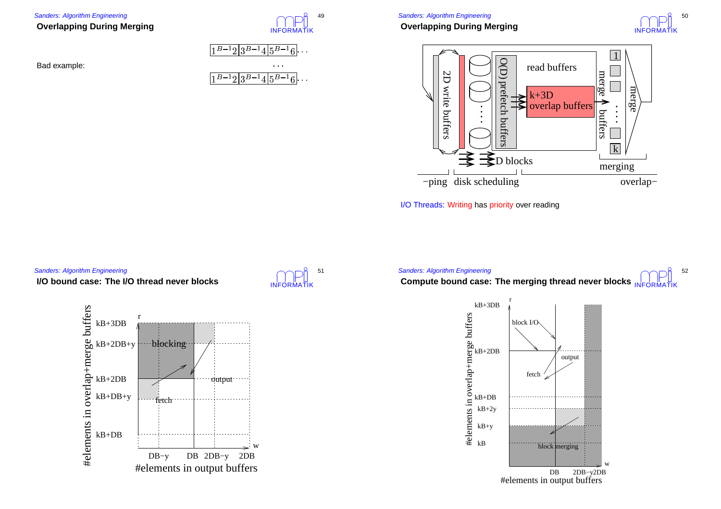## **Overlapping During Merging**





I/O Threads: Writing has priority over reading



## **I/O bound case: The I/O thread never blocks**









#### Sanders: Algorithm Engineering

## **Overlapping During Merging**



49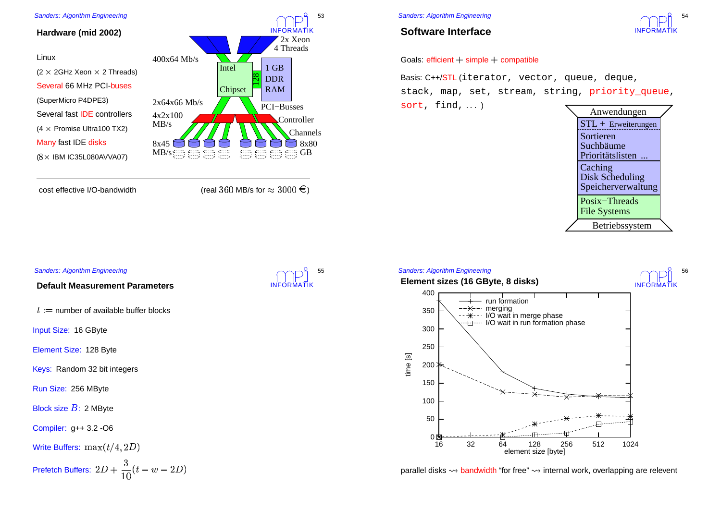

cost effective I/O-bandwidth  $\qquad \qquad \qquad$  (real  $3$ 

 $60$  MB/s for  $\approx 3000$   $\in$  )

#### Sanders: Algorithm Engineering

## **Software Interface**



Basis: C++/<mark>STL</mark>(iterator, vector, queue, deque, stack, map, set, stream, string, priority queue, sort, find,...)



#### Sanders: Algorithm Engineering INFORMATIK **Element sizes (16 GByte, 8 disks)** 0 B 50 100 150200250300 350 400 16 32 64 128 256 512 1024 time [s] element size [byte] run formation merging I/O wait in merge phase ·*E*····· I/O wait in run formation phase

parallel disks bandwidth "for free" internal work, overlapping are relevent



## **Default Measurement Parameters**

: := number of available buffer blocks<br>put Size: 16 GByte

Input Size: 16 GByte

Element Size: 128 Byte

Keys: Random 32 bit integers

Run Size: 256 MByte

Block size  $B\!\!$ : 2 MByte

Compiler: g++ 3.2 -O6

Write Buffers: 
$$
\max(t/4, 2D)
$$
  
Prefetch Buffers:  $2D + \frac{3}{10}(t - w - 2D)$ 





56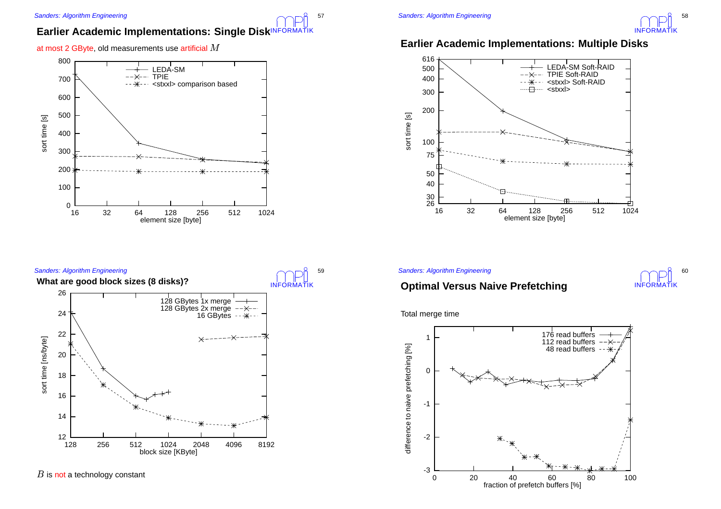# $\blacksquare$  **Earlier Academic Implementations: Single Disk** $\blacksquare$  $\blacksquare$  $\blacksquare$  $\blacksquare$  $\blacksquare$  $\blacksquare$  $\blacksquare$  $\blacksquare$  $\blacksquare$  $\blacksquare$  $\blacksquare$  $\blacksquare$  $\blacksquare$  $\blacksquare$  $\blacksquare$  $\blacksquare$  $\blacksquare$  $\blacksquare$  $\blacksquare$  $\blacksquare$  $\blacksquare$  $\blacksquare$  $\blacksquare$  $\blacksquare$

at most 2 GByte, old measurements use artificial  $M$ 





is not a technology constant

57



# **Earlier Academic Implementations: Multiple Disks**



### Sanders: Algorithm Engineering



# **Optimal Versus Naive Prefetching**

Total merge time

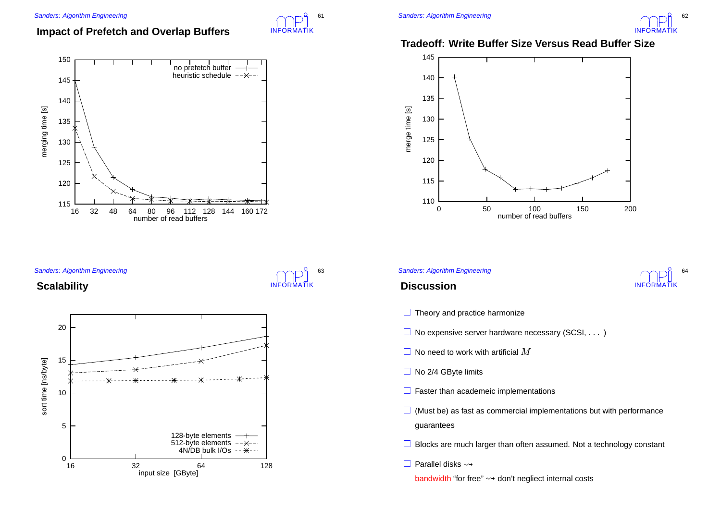# **Impact of Prefetch and Overlap Buffers**

INFORMATIK

INFORMATIK

63

61



Sanders: Algorithm Engineering

## **Scalability**





## **Tradeoff: Write Buffer Size Versus Read Buffer Size**



#### Sanders: Algorithm Engineering



## **Discussion**

- **Theory and practice harmonize**
- No expensive server hardware necessary (SCSI, ...)
- $\blacksquare$  No need to work with artificial  $M$
- No 2/4 GByte limits
- **Faster than academeic implementations**
- (Must be) as fast as commercial implementations but with performance guarantees
- Blocks are much larger than often assumed. Not <sup>a</sup> technology constant
- Parallel disks  $\rightsquigarrow$

bandwidth "for free"  $\leadsto$  don't negliect internal costs<br> $\blacksquare$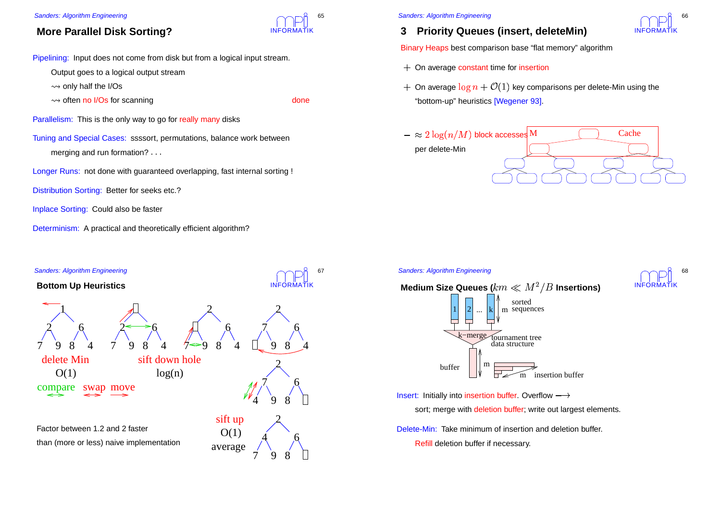# **More Parallel Disk Sorting?**

Pipelining: Input does not come from disk but from a logical input stream.

Output goes to <sup>a</sup> logical output stream

 $\rightsquigarrow$  only half the I/Os

only half the I/Os<br>often no I/Os for

INFORMATIK

65

often no I/Os for scanning<br>
sm: This is the only way to go for really many disks Parallelism: This is the only way to go for really many disks

Tuning and Special Cases: ssssort, permutations, balance work between merging and run formation? ---

Longer Runs: not done with guaranteed overlapping, fast internal sorting !

Distribution Sorting: Better for seeks etc.?

Inplace Sorting: Could also be faster

Determinism: A practical and theoretically efficient algorithm?



#### Sanders: Algorithm Engineering

# **3 Priority Queues (insert, deleteMin)**

Binary Heaps best comparison base "flat memory" algorithm

- On average constant time for insertion
- $\cdot$  On average  $\log n + \mathcal{O}(1)$  key comparisons per delete-Min using the "bottom-up" heuristics [Wegener 93].



#### Sanders: Algorithm Engineering





Insert: Initially into insertion buffer. Overflow  $\longrightarrow$ 

sort; merge with deletion buffer; write out largest elements.

Delete-Min: Take minimum of insertion and deletion buffer. Refill deletion buffer if necessary.

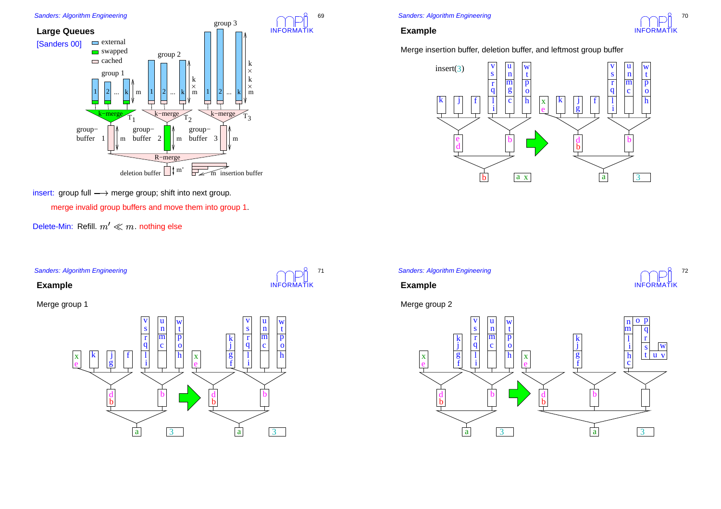

insert:  $\,$ group full  $\longrightarrow$  merge group; shift into next group.

merge invalid group buffers and move them into group 1.

Delete-Min: Refill.  $m'\ll m$ . nothing else

Sanders: Algorithm Engineering

**Example**

Merge group 1





## **Example**

69

INFORMATIK

71

Merge insertion buffer, deletion buffer, and leftmost group buffer



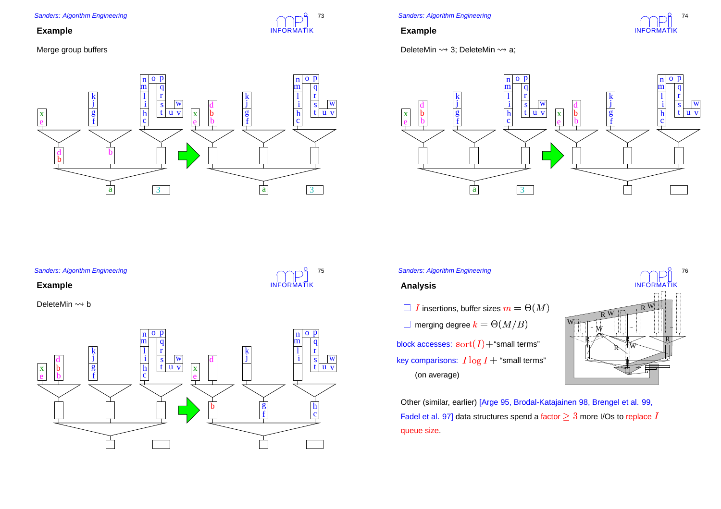## **Example**

## Merge group buffers



INFORMATIK

INFORMATIK

75

73

Sanders: Algorithm Engineering

## **Example**





#### Sanders: Algorithm Engineering

## **Example**



#### Sanders: Algorithm Engineering

## **Analysis**

- $i\;I$  insertions, buffer sizes  $m=\Theta(M)$
- $\blacksquare$  merging degree  $k = \Theta(M/B)$
- block accesses:  $\,\mathrm{sort}(I) +$ "small terms" key comparisons:  $I \log I +$  "small terms" (on average)



 Other (similar, earlier) [Arge 95, Brodal-Katajainen 98, Brengel et al. 99, Fadel et al. 97] data structures spend a factor  $\geq 3$  more I/Os to replace queue size.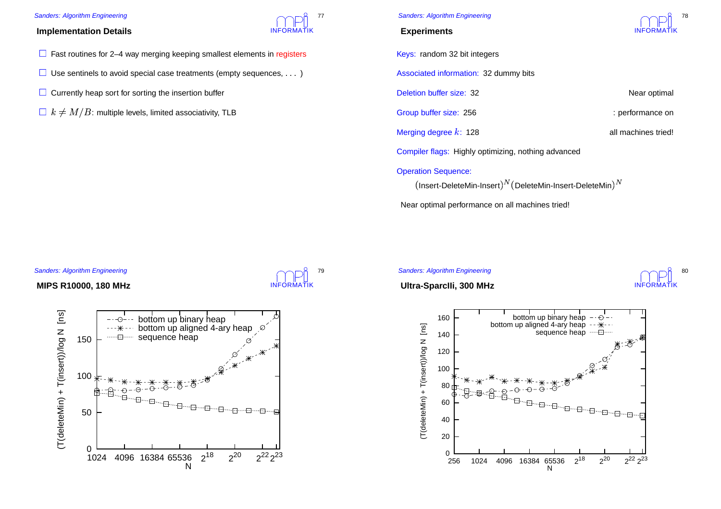## **Implementation Details**

- Fast routines for 2-4 way merging keeping smallest elements in registers
- Use sentinels to avoid special case treatments (empty sequences,  $\ldots$ )
- Currently heap sort for sorting the insertion buffer
- $1/k \neq M/B$ : multiple levels, limited associativity, TLB

Sanders: Algorithm Engineering

### **Experiments**

Keys: random 32 bit integers

Associated information: 32 dummy bits

Deletion buffer size: 32 Near optimal

Group buffer size: 256 : performance on

Merging degree  $k$ : 128 all machines tried!

INFORMATIK

80

Compiler flags: Highly optimizing, nothing advanced

### Operation Sequence:

Insert-DeleteMin-Insert $)^N$ (DeleteMin-Insert-DeleteMin $)^N$ 

Near optimal performance on all machines tried!

#### Sanders: Algorithm Engineering

# INFORMATIK 79

INFORMATIK

77

## **MIPS R10000, 180 MHz**





N





(T(deleteMin) + T(insert))/log N [ns]

 $(T(deteMin) + T(insert) / log N$  [ns]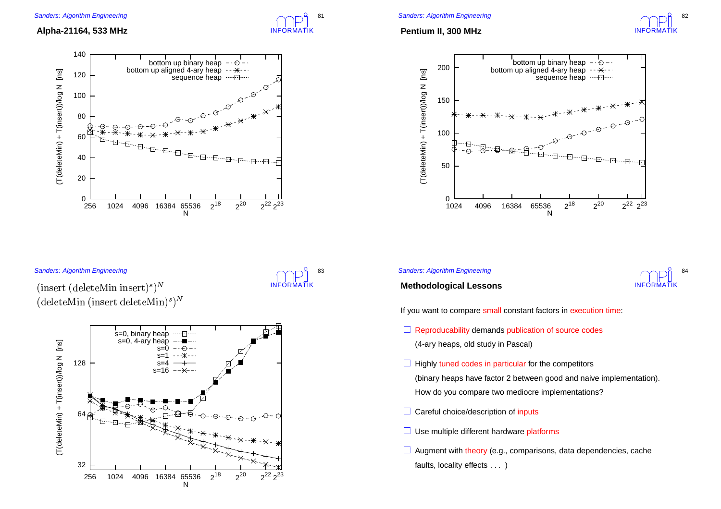

## **Alpha-21164, 533 MHz**



### Sanders: Algorithm Engineering

INFORMATIK 83

- --  $\mathbf{1}$   $\mathbf{1}$   $\mathbf{1}$   $\mathbf{M}$   $\mathbf{M}$   $\mathbf{M}$   $\mathbf{M}$   $\mathbf{M}$   $\mathbf{M}$   $\mathbf{M}$   $\mathbf{M}$   $\mathbf{M}$   $\mathbf{M}$   $\mathbf{M}$   $\mathbf{M}$   $\mathbf{M}$   $\mathbf{M}$   $\mathbf{M}$   $\mathbf{M}$   $\mathbf{M}$   $\mathbf{M}$   $\mathbf{M}$   $\mathbf{M}$   $\mathbf{M}$   $\mathbf{$ 



## **Pentium II, 300 MHz**





### Sanders: Algorithm Engineering



## **Methodological Lessons**

If you want to compare small constant factors in execution time:

- **Reproducability demands publication of source codes** (4-ary heaps, old study in Pascal)
- **Highly tuned codes in particular for the competitors**

(binary heaps have factor 2 between good and naive implementation). How do you compare two mediocre implementations?

- Careful choice/description of inputs
- Use multiple different hardware platforms
- Augment with theory (e.g., comparisons, data dependencies, cache faults, locality effects  $\ldots\,$  )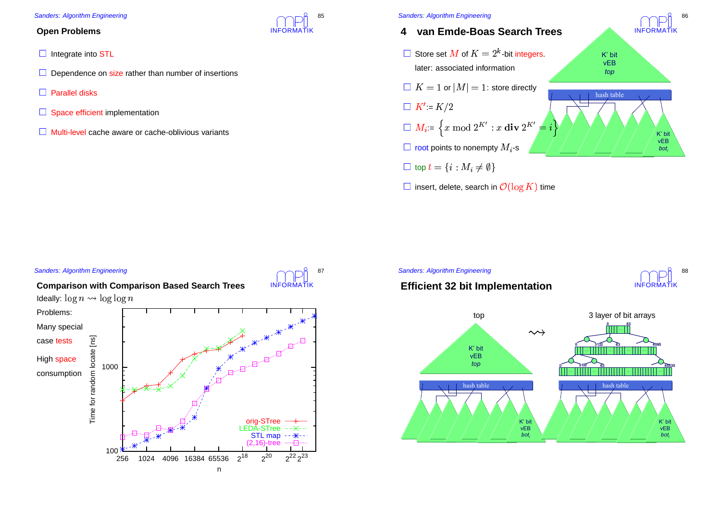## **Open Problems**

- Integrate into STL
- Dependence on size rather than number of insertions
- Parallel disks
- Space efficient implementation
- Multi-level cache aware or cache-oblivious variants

**Comparison with Comparison Based Search Trees**



- **4 van Emde-Boas Search Trees**
- $\;$  Store set  $M$  of  $K=2^k$ -bit integers.<br>tiion<br>pre directly later: associated information
- $\mid K=1$  or  $\vert M\vert=1$ : store directly

 $\Box K' = K/2$ 

- $:= K/2$ <br> $:= \begin{cases} x \end{cases}$  $M_i = \left\{ x \bmod 2^{K'} : x \textbf{ div } 2^{K'} = i \right\}$ <br>root points to nonempty  $M_i$ -s
- $\overline{a}$  $\blacksquare$  root points to nonempty  $M_i$ -s

 $\mathsf{t}$  top  $t = \{i : M_i \neq$ 

 $\begin{split} &\lambda \text{ top } t = \{i: M_i \neq \emptyset\} \ &\lambda \text{ insert, delete, search in } \mathcal{O}(\log K) \text{ time}. \end{split}$ 



**INFORMATIK** 

86

88



#### Sanders: Algorithm Engineering



INFORMATIK

85



![](_page_21_Picture_21.jpeg)

![](_page_21_Figure_22.jpeg)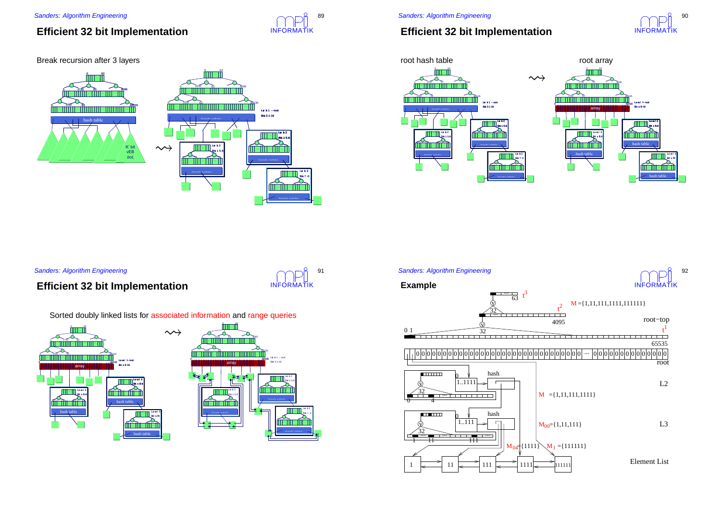# **Efficient 32 bit Implementation**

### Break recursion after 3 layers

#### 63 63 3132 04095 3132 … … … … … … … … … … … … … … … … … … … … … … … … … 31 3263 $0\qquad \qquad 31$ 6365535 … … … … … … Lev el 1 – root Bis 3 1-16 hash table<br> **and the second of the second contract of the second contract of the second contract of the second contract of the second contract of the second contract of the second contract of the second contract of the s** hashh table Leve b2 ts 1 5-8  $\rightsquigarrow$ Leve b 2 K' bit…… ا ا ا ا vEB *boti* $\sum_{n=1}^{\infty}$  ts 1 5-8 hash table ……………… hashh table ……………… hashh table

# **Efficient 32 bit Implementation**

![](_page_22_Picture_6.jpeg)

![](_page_22_Figure_7.jpeg)

Sanders: Algorithm Engineering

# **Efficient 32 bit Implementation**

![](_page_22_Picture_10.jpeg)

Lev el 3 ts 7-0

INFORMATIK

8<sub>9</sub>

Sorted doubly linked lists for associated information and range queries

![](_page_22_Figure_12.jpeg)

![](_page_22_Figure_13.jpeg)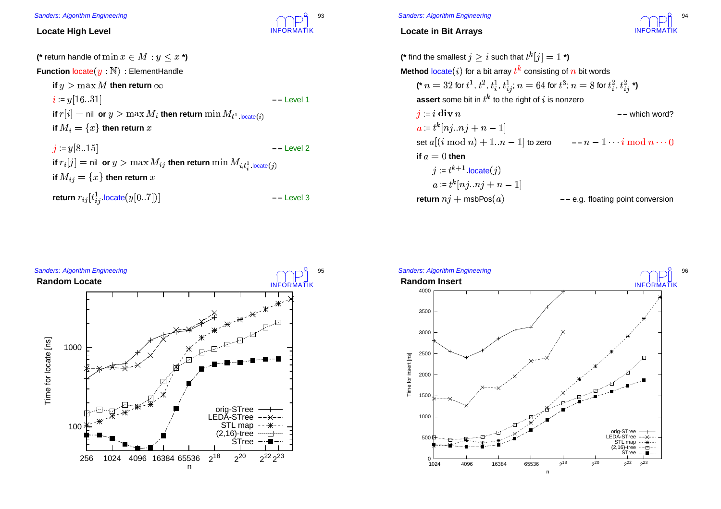![](_page_23_Picture_1.jpeg)

## **Locate High Level**

| (* return handle of $\min x \in M : y \leq x$ *)                                                  |              |
|---------------------------------------------------------------------------------------------------|--------------|
| <b>Function <math>\text{locate}(y : \mathbb{N})</math>:</b> ElementHandle                         |              |
| if $y > \max M$ then return $\infty$                                                              |              |
| $i = y[1631]$                                                                                     | -- Level 1   |
| if $r[i] =$ nil or $y > \max M_i$ then return $\min M_{t^1, \text{located}(i)}$                   |              |
| if $M_i = \{x\}$ then return x                                                                    |              |
| $j = y[815]$                                                                                      | $--$ Level 2 |
| if $r_i[j] =$ nil $\texttt{or}~ y > \max M_{ij}$ then return $\min M_{i,t_i^1,\text{located}(j)}$ |              |
| if $M_{ij} = \{x\}$ then return x                                                                 |              |
| return $r_{ij}[t_{ij}^1]$ locate $(y[07])]$                                                       | $--$ Level 3 |
|                                                                                                   |              |
|                                                                                                   |              |
|                                                                                                   |              |

#### Sanders: Algorithm Engineering

## **Locate in Bit Arrays**

![](_page_23_Picture_6.jpeg)

**(\*** find the smallest  $j\geq i$  such that  $t^k[j]=1$  \***) Method** locate $(i)$  for a bit array  $t^k$  consisting of  $n$  bit words consisting of  $n$ <br> $a = 64$  for  $t^3$ ;  $n$ <br>ght of  $i$  is nonze (\*  $n = 32$  for  $t^1, t^2, t^1_i, t^1_{ij}; n = 64$  for  $t^3; n = 8$  for  $t^2_i, t^2_{ij}$  \*)<br> **assert** some bit in  $t^k$  to the right of  $i$  is nonzero<br>  $\vec{y} = i \textbf{div } n$  –– wh  $t_{ij}$ ;  $n$ <br>the rig  $\mathop{\mathsf{assert}}\nolimits$  some bit in  $t^k$  to the right of is nonzero set <sup>2</sup>-- -- to zero **– –** --  $:= i \mathbf{div} n$  $a = t^k[nj..nj + n - 1]$ **– –** which word?  $a = t^k[nj..nj + n - 1]$ **if**  $a=0$  then  $:= t^{k+1} \text{ locate}(i)$ .<br>ລ<br>ກ  $\mathsf{return}~ni + \mathsf{msbPos}(a)$  **– –** e.g. floating point conversion

![](_page_23_Figure_8.jpeg)

![](_page_23_Figure_9.jpeg)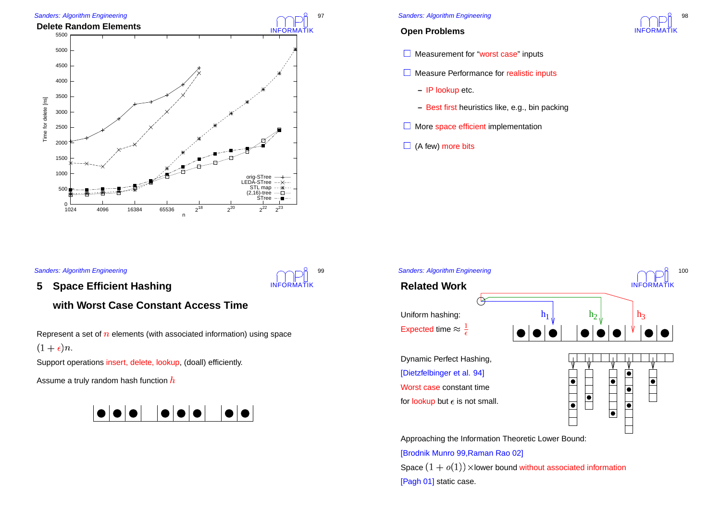![](_page_24_Figure_0.jpeg)

## **Open Problems**

![](_page_24_Picture_3.jpeg)

**Qs** 

- **Measurement for "worst case" inputs**
- **Measure Performance for realistic inputs** 
	- **–** IP lookup etc.
	- **–** Best first heuristics like, e.g., bin packing
- More space efficient implementation
- (A few) more bits

### Sanders: Algorithm Engineering

**5Space Efficient Hashing**

## **with Worst Case Constant Access Time**

Represent a set of  $n$  elements (with associated information) using space  $1+\epsilon)n$ .

INFORMATIK

99

Support operations insert, delete, lookup, (doall) efficiently.

Assume a truly random hash function  $h$ 

![](_page_24_Figure_16.jpeg)

![](_page_24_Figure_17.jpeg)

Approaching the Information Theoretic Lower Bound:

[Brodnik Munro 99,Raman Rao 02] Space  $(1+o(1))$  × lower bound without associated information [Pagh 01] static case.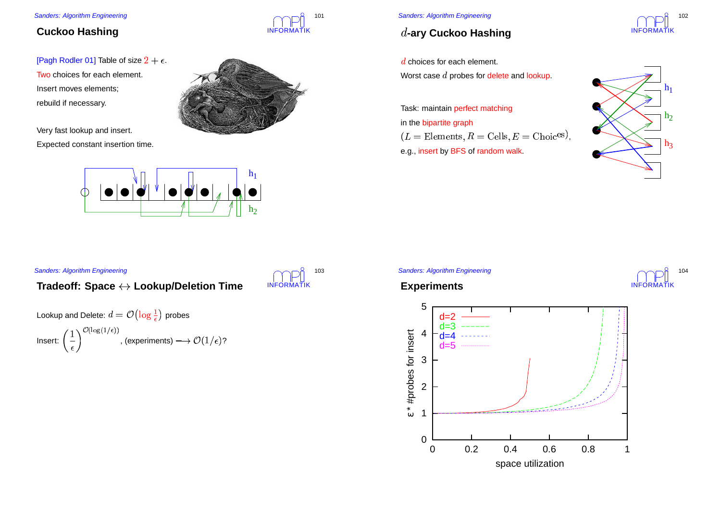# **Cuckoo Hashing**

[Pagh Rodler 01] Table of size  $2 + \epsilon$ . Two choices for each element. Insert moves elements; rebuild if necessary.

Very fast lookup and insert. Expected constant insertion time.

Sanders: Algorithm Engineering

![](_page_25_Picture_4.jpeg)

INFORMATIK

INFORMATIK

103

101

![](_page_25_Figure_5.jpeg)

**Tradeoff: Space Lookup/Deletion Time**

-

, (experiments)  $\longrightarrow \mathcal{O}(1/\epsilon)$ ?

Lookup and Delete:  $d = \mathcal{O}\left(\log\frac{1}{\epsilon}\right)$  probes

Lookup and Delete:  $d = \mathcal{O}\left(\log \frac{1}{\epsilon}\right)$  probes<br>Insert:  $\left(\frac{1}{\epsilon}\right)^{\mathcal{O}(\log(1/\epsilon))}$ , (experiments) —  $\rightarrow$ 

## Sanders: Algorithm Engineering

# **-ary Cuckoo Hashing**

choices for each element.

Worst case  $d$  probes for delete and lookup.

Task: maintain perfect matching in the bipartite graph  $L =$  Elements,  $R =$  Cells,  $E =$  Choic<sup>es</sup>)<br>e.g., insert by BFS of random walk. e.g., insert by BFS of random walk.

![](_page_25_Figure_11.jpeg)

,

## Sanders: Algorithm Engineering

![](_page_25_Figure_13.jpeg)

![](_page_25_Picture_14.jpeg)

![](_page_25_Figure_15.jpeg)

![](_page_25_Picture_16.jpeg)

102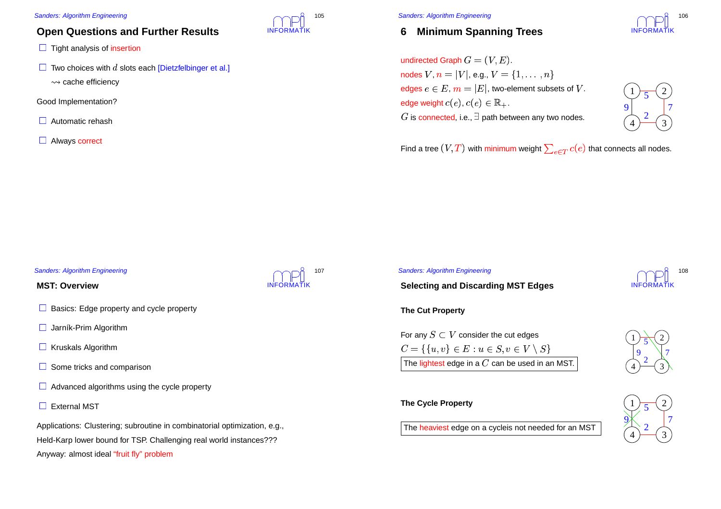# **Open Questions and Further Results**

- **Tight analysis of insertion**
- $\vdash$  Two choices with  $d$  slots each [Dietzfelbinger et al.]
	- $\rightsquigarrow$  cache efficiency cache efficiency<br>mplementation?
- Good Implementation?
- Automatic rehash
- **Always correct**

![](_page_26_Picture_8.jpeg)

Sanders: Algorithm Engineering

#### **6Minimum Spanning Trees**

![](_page_26_Picture_11.jpeg)

undirected Graph  $G=\mathfrak{(}V$  $\begin{array}{l} \n\mathbf{Z},E). \ \mathbf{Z} & = \ \mathbf{X} \times \mathbf{Y} & = \ \mathbf{X} \times \mathbf{Y} & = \ \mathbf{X} \times \mathbf{Y} & = \mathbf{X} \end{array}$ nodes  $V$ ,  $n=|V|$ , e.g.,  $V=\{1,\ldots,n\}$ edges  $e \in E$ ,  $m = |E|$ , two-element subsets of V. edge weight  $c(e)$ ,  $c(e) \in \mathbb{R}_+.$ is connected, i.e.,  $\exists$  path between any two nodes.

![](_page_26_Picture_13.jpeg)

Find a tree  $(V, T)$  with minimum weight  $\sum_{e \in T} c(e)$  that connects all nodes.<br>

#### Sanders: Algorithm Engineering

#### **MST: Overview**

- Basics: Edge property and cycle property
- Jarník-Prim Algorithm
- **Kruskals Algorithm**
- Some tricks and comparison
- Advanced algorithms using the cycle property
- External MST

Applications: Clustering; subroutine in combinatorial optimization, e.g., Held-Karp lower bound for TSP. Challenging real world instances??? Anyway: almost ideal "fruit fly" problem

![](_page_26_Picture_24.jpeg)

#### Sanders: Algorithm Engineering

# INFORMATIK108

**Selecting and Discarding MST Edges**

**The Cut Property**

![](_page_26_Figure_29.jpeg)

### **The Cycle Property**

The heaviest edge on a cycleis not needed for an MST  $\begin{pmatrix} 4 \end{pmatrix}$ 

![](_page_26_Picture_32.jpeg)

![](_page_26_Picture_33.jpeg)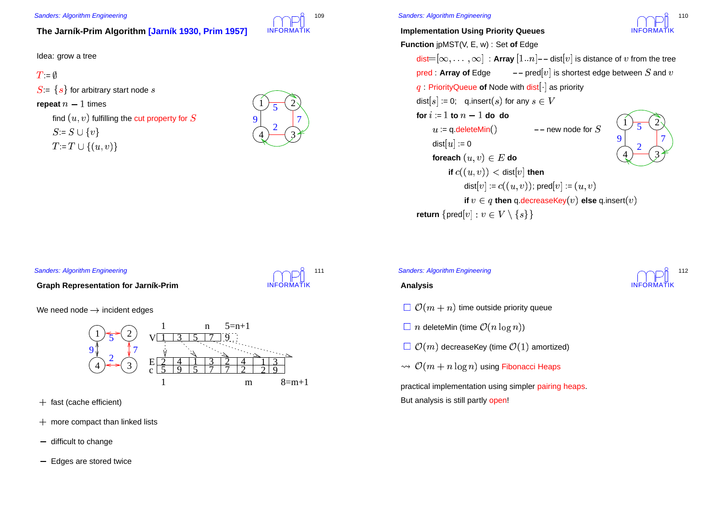## **The Jarník-Prim Algorithm [Jarník 1930, Prim 1957]**

Idea: grow <sup>a</sup> tree

```
\mathcal{L} = \emptyset
```
 $S = \{s\}$  for arbitrary start node

 $\mathop{\mathsf{repeat}} n-1$  times

find  $(u, v)$  fulfilling the cut property for  $S = S \cup \{v\}$  $:= T \cup \{(u, v)\}\$ 

![](_page_27_Picture_7.jpeg)

INFORMATIK

111

INFORMATIK

109

**Implementation Using Priority Queues**

![](_page_27_Picture_10.jpeg)

**Function** jpMST(V, E, w) : Set **of** Edge  $\textsf{dist}=[\infty,\ldots,\infty]$  : Array  $[1..n]$  – - dist $[v]$  is distance of  $v$  from the tree  $\begin{aligned} &\mathsf{list}{=}[\infty,\dots,\infty] \,:\mathsf{Array}\left[1..n\right] \text{---} \, \mathsf{dist}[v] \text{ is } \ &\mathsf{red}:\mathsf{Array}\text{ of } \mathsf{Edge} \qquad \text{---} \, \mathsf{pred}[v] \text{ is short} \ &\quad:\mathsf{PriorityQueue}\text{ of } \mathsf{Node} \text{ with } \mathsf{dist}[\cdot] \text{ as priority} \end{aligned}$ **pred : Array of Edge**  $-$  $-$  **pred [v] is shortest edge between**  $S$  **and**  $v$ dist $[s] \coloneqq 0;$  q.insert $(s)$  for any  $s \in \mathbb{R}$ for  $i\coloneqq 1$  to  $n-1$  do do  $u := q$ .deleteMin()  $-$  **–** new node for **if**  $v \in q$  **then** <code>q.decreaseKey $(v)$  else <code>q.insert $(v)$ </code></code> dist $\lceil u \rceil := 0$ foreach  $(u,v) \in E$  do **if**  $c((u,v)) < \mathsf{dist}[v]$  **then** dist $[v] \coloneqq c((u,v));$   $\text{\rm pred}[v] \coloneqq (u,v)$  $\mathsf{return}~\{\mathsf{pred}[v] : v \in V \setminus \{s\}\}$ 423 199 | 7 25

#### Sanders: Algorithm Engineering

**Graph Representation for Jarník-Prim**

We need node  $\rightarrow$  incident edges

![](_page_27_Figure_15.jpeg)

- fast (cache efficient)
- more compact than linked lists
- difficult to change
- Edges are stored twice

![](_page_27_Picture_20.jpeg)

## **Analysis**

- $t\vert \ \mathcal{O}(m+n)$  time outside priority queue
- $\mid n$  deleteMin (time  $\mathcal{O}(n\log{}n)$ )
- $\Box$   $\mathcal{O}(m)$  decreaseKey (time  $\mathcal{O}(1)$  amortized)
- $\omega\mathcal{O}(m+n\log n)$  using Fibonacci Heaps

practical implementation using simpler pairing heaps. But analysis is still partly <mark>open</mark>!

![](_page_27_Picture_27.jpeg)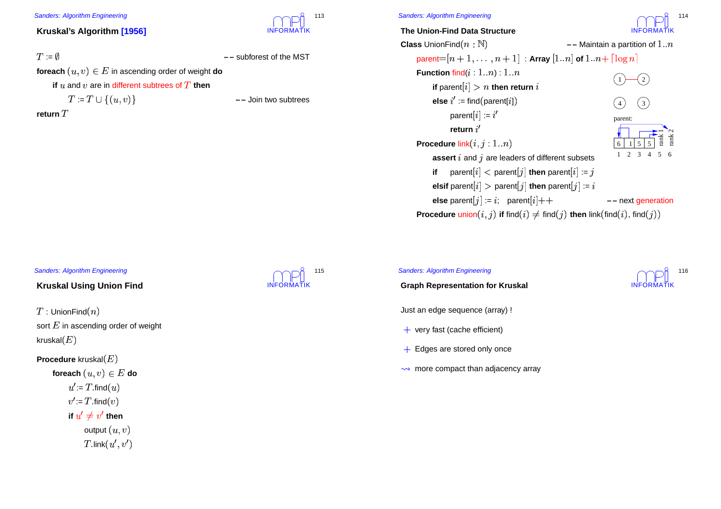## **Kruskal's Algorithm [1956]**

## $:=$

**– –** subforest of the MST

 $\mathop{\mathsf{forecast}}\nolimits(u,v) \in E$  in ascending order of weight  $\mathop{\mathsf{do}}$ 

**if**  $u$  and  $v$  are in different subtrees of  $T$  **then** 

 $:= T \cup \{(u, v)\}\$ 

return  $T$ 

INFORMATIK

113

**–** Join two subtrees

## Sanders: Algorithm Engineering

**The Union-Find Data Structure**

INFORMATIK114

![](_page_28_Figure_18.jpeg)

### Sanders: Algorithm Engineering

## **Kruskal Using Union Find**

 $^{\prime}$  : UnionFind $(n)$ sort  $E$  in ascending order of weight kruskal $\left( E\right)$ 

**Procedure** kruskal foreach  $(u,v) \in E$  do  $u' = T$ . find  $(u)$  $:= T \nonumber \ \begin{aligned} u' \neq \end{aligned}$  $\mathcal{C} = T$  find $(v)$  $:= T$ <br> $u' \neq$ if  $u' \neq v'$ then<br>it  $(u,\ \zeta(u',\cdot))$ output  $(u,v)$  $\textsf{link}(u',v')$ 

![](_page_28_Picture_23.jpeg)

#### Sanders: Algorithm Engineering

**Graph Representation for Kruskal**

Just an edge sequence (array) !

- very fast (cache efficient)
- + Edges are stored only once
- more compact than adjacency array

![](_page_28_Picture_30.jpeg)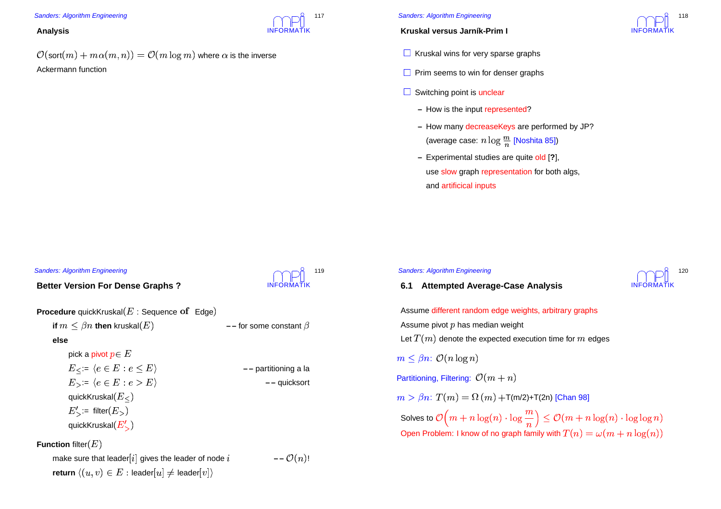#### **Analysis**

 $\psi(\mathsf{sort}(m) + m\alpha(m,n)) = \mathcal{O}(m\log m)$  where  $\alpha$  is the inverse Ackermann function

#### Sanders: Algorithm Engineering

### **Kruskal versus Jarník-Prim I**

- **Kruskal wins for very sparse graphs**
- **Prim seems to win for denser graphs**
- Switching point is unclear

Sanders: Algorithm Engineering

- **–** How is the input represented?
- **–** How many decreaseKeys are performed by JP? (average case:  $n\log\frac{m}{n}$
- $\frac{m}{n}$  [Noshita 85])<br>are quite old [?] **–** Experimental studies are quite old [**?**], use slow graph representation for both algs, and artificical inputs

#### Sanders: Algorithm Engineering

**else**

**Better Version For Dense Graphs ?**

| Before Version For Dense Graphs                                  | INFORMAIN                                             |                                 |                     |
|------------------------------------------------------------------|-------------------------------------------------------|---------------------------------|---------------------|
| Proceedure quickKruskal(E): Sequence of Edge)                    | — for some constant $\beta$                           |                                 |                     |
| else                                                             | pick a pivot $p \in E$                                | $E_{\leq} : e \in E : e \leq E$ | — partitioning a la |
| $E_{\geq} : e \in E : e > E$                                     | — gravitioning a la                                   |                                 |                     |
| $E_{\geq} : E_{\leq} : e \in E : e > E$                          | — quicksort                                           |                                 |                     |
| quickKruskal( $E_{\leq}$ )                                       | $E'_{\geq}$ := filter( $E_{\geq}$ )                   |                                 |                     |
| Function filter(E)                                               | make sure that leader[i] gives the leader of node $i$ | — $\mathcal{O}(n)$ !            |                     |
| return $\langle (u, v) \in E : leader[u] \neq leader[v] \rangle$ |                                                       |                                 |                     |

![](_page_29_Picture_14.jpeg)

**– –** quicksort

!

INFORMATIK

117

```
INFORMATIK6.1 Attempted Average-Case Analysis
 Assume different random edge weights, arbitrary graphs
 Assume pivot p has median weight
 Let T(m) denote the expected execution time for m edges
  \leq \beta n: \mathcal{O}(n \log n)Partitioning, Filtering: \mathcal{O}(m+n)\beta > \beta n: T(m) = \Omega(m) + T(m/2) + T(2n) [Chan 98]
 Solves to \mathcal{O}\Big(m+n\log(n)\cdot\log\frac{m}{n}\Big)\leq\mathcal{O}(m+n\log(n)\cdot\log\log n)<br>Open Problem: I know of no graph family with T(n)=\omega(m+n\log(n))\overline{a}Open Problem: I know of no graph family with T(n) = \omega(m + n\log(n))
```
![](_page_29_Picture_16.jpeg)

120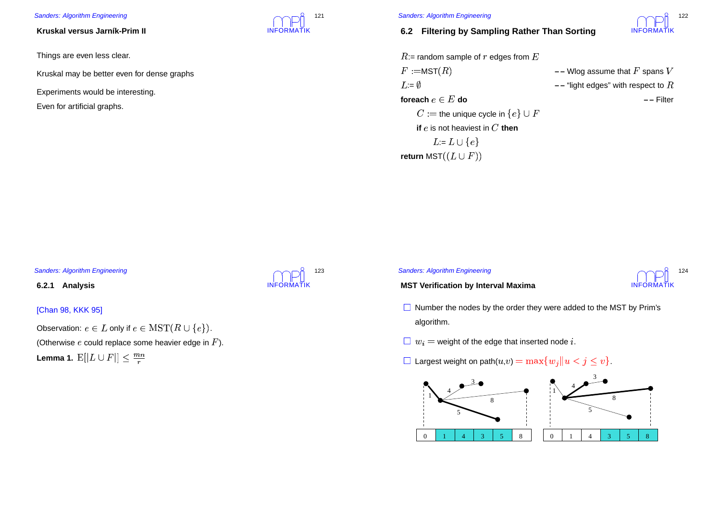#### **Kruskal versus Jarník-Prim II**

Things are even less clear.

Kruskal may be better even for dense graphs

- Experiments would be interesting.
- Even for artificial graphs.

![](_page_30_Picture_6.jpeg)

#### Sanders: Algorithm Engineering

## **6.2 Filtering by Sampling Rather Than Sorting**

![](_page_30_Picture_9.jpeg)

```
:= random sample of r edges from E
  \mathcal{L} = \mathsf{MST}(R)<br>= \emptyset<br>= \emptyset<br>+ - "light edges" with respect to RL =foreach e \in E do - – Filter
      the unique cycle in \{e\} \cup F<br>
then e is not heaviest in C then
     if e is not heaviest in C then
         L = L \cup \{e\}
```
#### Sanders: Algorithm Engineering

#### **6.2.1 Analysis**

## [Chan 98, KKK 95]

Observation:  $e \in L$  only if  $e \in \mathrm{MST}(R \cup \{e\})$ . (Otherwise  $e$  could replace some heavier edge in  $F$ ). Lemma 1.  $\operatorname{E}[|L \cup F|] < \frac{m}{m}$  $\overline{r}$ 

![](_page_30_Picture_15.jpeg)

#### Sanders: Algorithm Engineering

 $\mathsf{return}\ \mathsf{MST}((L\cup F))$ 

![](_page_30_Picture_17.jpeg)

#### **MST Verification by Interval Maxima**

- Number the nodes by the order they were added to the MST by Prim's algorithm.
- $\Box w_i$  = weight of the edge that inserted node i.
- $\|w_i =$  weight of the edge that inserted node  $i.$   $\|w_i\|$  and  $\|w_i\|$  and  $\|w_i\|$  and  $\|w_j\|$  and  $\|w_j\|$  and  $\|w_j\|$

![](_page_30_Figure_22.jpeg)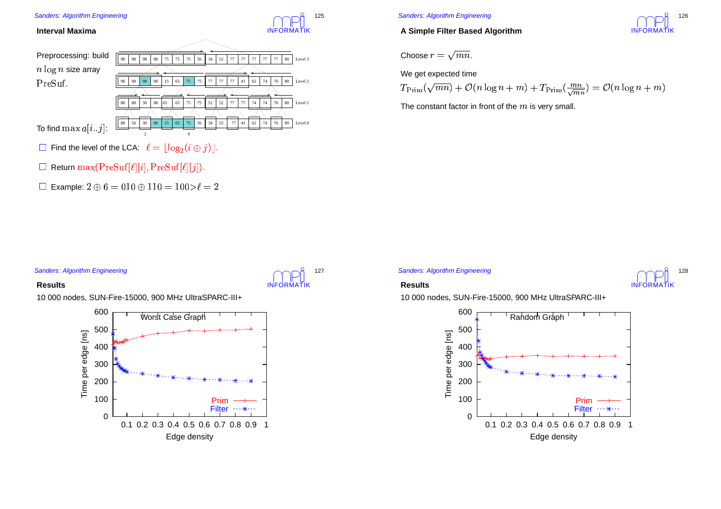![](_page_31_Figure_0.jpeg)

## **A Simple Filter Based Algorithm**

![](_page_31_Picture_3.jpeg)

Choose 
$$
r = \sqrt{mn}
$$
.

We get expected time

$$
T_{\text{Prim}}(\sqrt{mn}) + \mathcal{O}(n \log n + m) + T_{\text{Prim}}(\frac{mn}{\sqrt{mn}}) = \mathcal{O}(n \log n + m)
$$
  
The constant factor in front of the *m* is very small.

The constant factor in front of the  $m$  is very small.

## Sanders: Algorithm Engineering

#### **Results**

10 000 nodes, SUN-Fire-15000, 900 MHz UltraSPARC-III+

![](_page_31_Figure_11.jpeg)

Sanders: Algorithm Engineering

INFORMATIK

127

![](_page_31_Picture_13.jpeg)

### **Results**

10 000 nodes, SUN-Fire-15000, 900 MHz UltraSPARC-III+

![](_page_31_Figure_16.jpeg)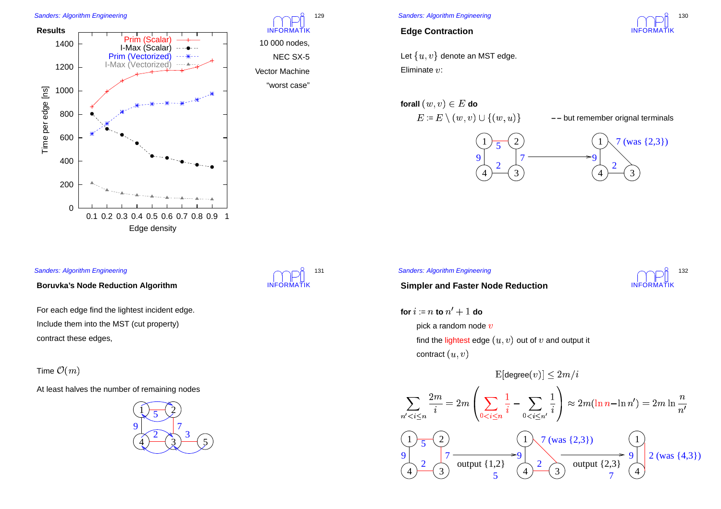![](_page_32_Figure_1.jpeg)

![](_page_32_Picture_2.jpeg)

10 000 nodes, NEC SX-5 Vector Machine"worst case"

## Sanders: Algorithm Engineering

## **Edge Contraction**

Let  $\{u,v\}$  denote an MST edge. Eliminate  $v$ :

![](_page_32_Figure_7.jpeg)

![](_page_32_Figure_8.jpeg)

# **Simpler and Faster Node Reduction**

![](_page_32_Figure_10.jpeg)

For each edge find the lightest incident edge. Include them into the MST (cut property) contract these edges,

**Boruvka's Node Reduction Algorithm**

Time  $\mathcal{O}(m)$ 

Sanders: Algorithm Engineering

At least halves the number of remaining nodes

![](_page_32_Picture_14.jpeg)

![](_page_32_Picture_15.jpeg)

# Sanders: Algorithm Engineering

for  $i\coloneqq n$  to  $n'+1$  do pick a random node  $v$ find the lightest edge  $(u,v)$  out of  $v$  and output it contract  $(u,v)$ 

![](_page_32_Figure_18.jpeg)

![](_page_32_Picture_19.jpeg)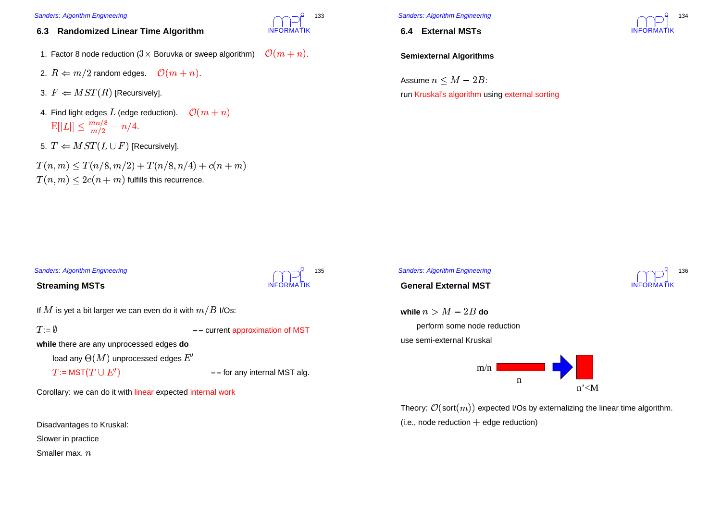- **6.3 Randomized Linear Time Algorithm**
- 1. Factor 8 node reduction ( $3\times$  Boruvka or sweep algorithm)  $\quad$   $\mathcal{O}(m+n)$ .
- 2.  $R \Leftarrow m/2$  random edges.  $\quad \mathcal{O}(m+n).$
- 3.  $F \Leftarrow MST(R)$  [Recursively].
- 4. Find light edges  $L$  (edge reduction).  $\quad {\cal O}(m+n)$  $[|L|] < \frac{mn/8}{m/2} = n/4.$
- $\frac{1}{\sqrt{2}} = n$ <br> $(L \cup F)$ <br> $n/8, m/2$ 5.  $T \Leftarrow MST(L \cup F)$  [Recursively].

 $T(n,m) < T(n/8, m/2) + T(n/8, n/4) + c(n+m)$  $\forall (n,m) \leq 2c(n+m)$  fulfills this recurrence.

![](_page_33_Picture_8.jpeg)

**6.4 External MSTs**

## INFORMATIK134

**Semiexternal Algorithms**

Assume  $n \leq M-2B$ : run Kruskal's algorithm using external sorting

## Sanders: Algorithm Engineering

## **Streaming MSTs**

INFORMATIK135

INFORMATIK

133

If  $M$  is yet a bit larger we can even do it with  $m/B$  I/Os:

-:=

**– –** current approximation of MST

**while** there are any unprocessed edges **do**

load any  $\Theta(M)$  unprocessed edges  $E'$ 

 $\mathrel{\mathop:}= \mathsf{MST}(T\cup E')$ 

**– –** for any internal MST alg.

Corollary: we can do it with linear expected internal work

Disadvantages to Kruskal:

Slower in practice

Smaller max.  $n$ 

![](_page_33_Picture_27.jpeg)

**General External MST**

while  $n > M - 2B$  do perform some node reduction use semi-external Kruskal

![](_page_33_Figure_30.jpeg)

Theory:  $\mathcal{O}(\text{sort}(m))$  expected I/Os by externalizing the linear time algorithm.  $(i.e., node reduction + edge reduction)$ 

![](_page_33_Picture_32.jpeg)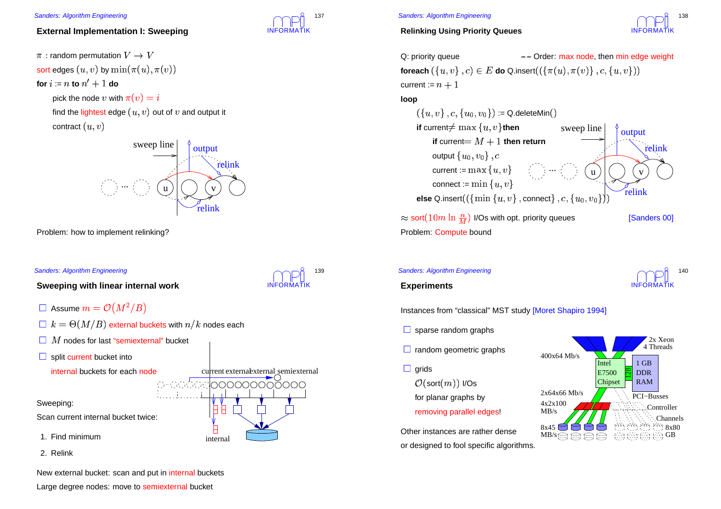## **External Implementation I: Sweeping**

 $\cdot$  random permutation  $V\rightarrow$ sort edges  $(u,v)$  by  $\min(\pi(u),\pi(v))$ for  $i\coloneqq n$  to  $n'+1$  do pick the node v with  $\pi(v) = i$ find the lightest edge  $(u,v)$  out of  $v$  and output it contract  $(u,v)$ 

![](_page_34_Picture_3.jpeg)

Problem: how to implement relinking?

#### Sanders: Algorithm Engineering

**Sweeping with linear internal work**

- | Assume  $m = \mathcal{O}(M^2/B)$
- $\exists \; k = \Theta(M/B)$  external buckets with  $n/k$  nodes each
- $\mid M$  nodes for last "semiexternal" bucket
- split current bucket into

internal buckets for each node

#### Sweeping:

Scan current internal bucket twice:

1. Find minimum

2. Relink

![](_page_34_Figure_16.jpeg)

Large degree nodes: move to semiexternal bucket

![](_page_34_Picture_18.jpeg)

INFORMATIK

current externaexternal semiexternal

000000000000

internal

È

139

### Sanders: Algorithm Engineering

## **Relinking Using Priority Queues**

![](_page_34_Picture_21.jpeg)

Q: priority queue\n
$$
\begin{aligned}\n&\text{O: priority queue} \\
&\quad \text{-- Order: } \text{max node, then } \text{min edge weight} \\
&\text{foreach}\left(\{u, v\}, c\right) \in E \text{ do Q.insert}\left(\left(\{\pi(u), \pi(v)\}, c, \{u, v\}\right)\right) \\
&\text{current} := n + 1 \\
&\text{loop}\n\end{aligned}
$$

**loop**

![](_page_34_Figure_24.jpeg)

### Sanders: Algorithm Engineering

![](_page_34_Picture_26.jpeg)

## **Experiments**

Instances from "classical" MST study [Moret Shapiro 1994]

- sparse random graphs
- random geometric graphs
- **grids** 
	- $(\text{sort}(m))$  I/Os for planar graphs by removing parallel edges!

Other instances are rather dense or designed to fool specific algorithms.

![](_page_34_Picture_34.jpeg)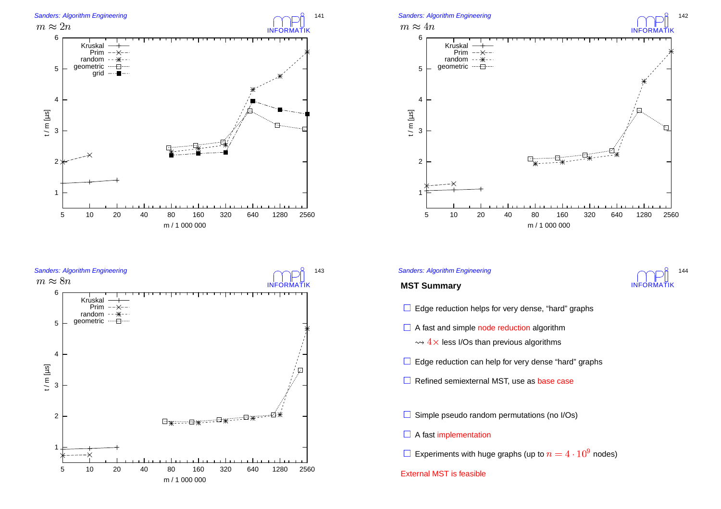![](_page_35_Figure_0.jpeg)

![](_page_35_Figure_1.jpeg)

![](_page_35_Figure_2.jpeg)

![](_page_35_Figure_4.jpeg)

![](_page_35_Figure_5.jpeg)

- Edge reduction helps for very dense, "hard" graphs
- A fast and simple node reduction algorithm
	- $4\times$  less I/Os than previous algorithms
- Edge reduction can help for very dense "hard" graphs
- Refined semiexternal MST, use as base case
- Simple pseudo random permutations (no I/Os)
- A fast implementation
- Experiments with huge graphs (up to  $n=4\cdot 10^9$  nodes)<br>ternal MST is feasible

#### External MST is feasible